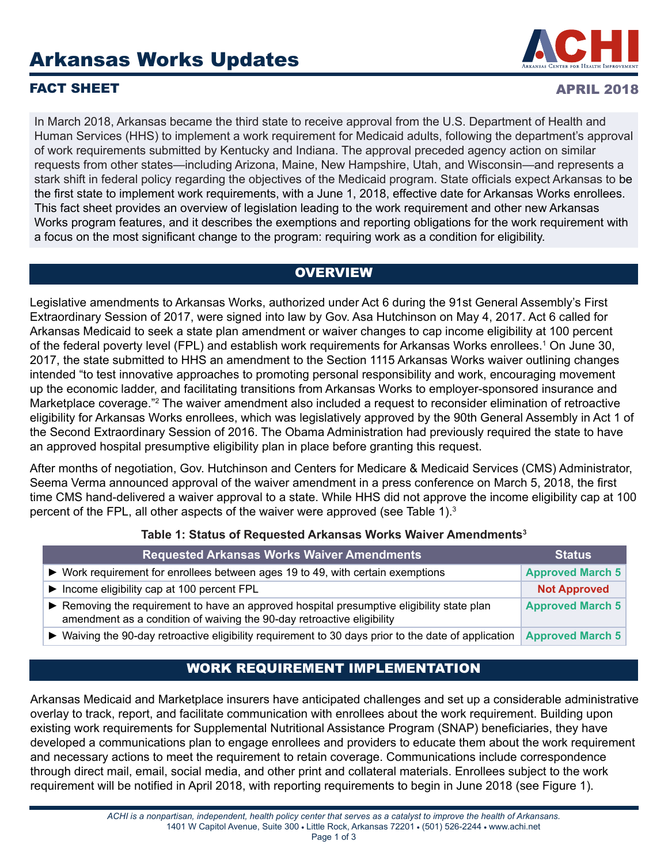# Arkansas Works Updates



#### **FACT SHEET** APRIL 2018

In March 2018, Arkansas became the third state to receive approval from the U.S. Department of Health and Human Services (HHS) to implement a work requirement for Medicaid adults, following the department's approval of work requirements submitted by Kentucky and Indiana. The approval preceded agency action on similar requests from other states—including Arizona, Maine, New Hampshire, Utah, and Wisconsin—and represents a stark shift in federal policy regarding the objectives of the Medicaid program. State officials expect Arkansas to be the first state to implement work requirements, with a June 1, 2018, effective date for Arkansas Works enrollees. This fact sheet provides an overview of legislation leading to the work requirement and other new Arkansas Works program features, and it describes the exemptions and reporting obligations for the work requirement with a focus on the most significant change to the program: requiring work as a condition for eligibility.

### **OVERVIEW**

Legislative amendments to Arkansas Works, authorized under Act 6 during the 91st General Assembly's First Extraordinary Session of 2017, were signed into law by Gov. Asa Hutchinson on May 4, 2017. Act 6 called for Arkansas Medicaid to seek a state plan amendment or waiver changes to cap income eligibility at 100 percent of the federal poverty level (FPL) and establish work requirements for Arkansas Works enrollees.<sup>1</sup> On June 30, 2017, the state submitted to HHS an amendment to the Section 1115 Arkansas Works waiver outlining changes intended "to test innovative approaches to promoting personal responsibility and work, encouraging movement up the economic ladder, and facilitating transitions from Arkansas Works to employer-sponsored insurance and Marketplace coverage."<sup>2</sup> The waiver amendment also included a request to reconsider elimination of retroactive eligibility for Arkansas Works enrollees, which was legislatively approved by the 90th General Assembly in Act 1 of the Second Extraordinary Session of 2016. The Obama Administration had previously required the state to have an approved hospital presumptive eligibility plan in place before granting this request.

After months of negotiation, Gov. Hutchinson and Centers for Medicare & Medicaid Services (CMS) Administrator, Seema Verma announced approval of the waiver amendment in a press conference on March 5, 2018, the first time CMS hand-delivered a waiver approval to a state. While HHS did not approve the income eligibility cap at 100 percent of the FPL, all other aspects of the waiver were approved (see Table 1).<sup>3</sup>

#### **Table 1: Status of Requested Arkansas Works Waiver Amendments3**

| <b>Requested Arkansas Works Waiver Amendments</b>                                                                                                                    | <b>Status</b>           |
|----------------------------------------------------------------------------------------------------------------------------------------------------------------------|-------------------------|
| ► Work requirement for enrollees between ages 19 to 49, with certain exemptions                                                                                      | <b>Approved March 5</b> |
| $\triangleright$ Income eligibility cap at 100 percent FPL                                                                                                           | <b>Not Approved</b>     |
| ► Removing the requirement to have an approved hospital presumptive eligibility state plan<br>amendment as a condition of waiving the 90-day retroactive eligibility | <b>Approved March 5</b> |
| • Waiving the 90-day retroactive eligibility requirement to 30 days prior to the date of application                                                                 | <b>Approved March 5</b> |

# WORK REQUIREMENT IMPLEMENTATION

Arkansas Medicaid and Marketplace insurers have anticipated challenges and set up a considerable administrative overlay to track, report, and facilitate communication with enrollees about the work requirement. Building upon existing work requirements for Supplemental Nutritional Assistance Program (SNAP) beneficiaries, they have developed a communications plan to engage enrollees and providers to educate them about the work requirement and necessary actions to meet the requirement to retain coverage. Communications include correspondence through direct mail, email, social media, and other print and collateral materials. Enrollees subject to the work requirement will be notified in April 2018, with reporting requirements to begin in June 2018 (see Figure 1).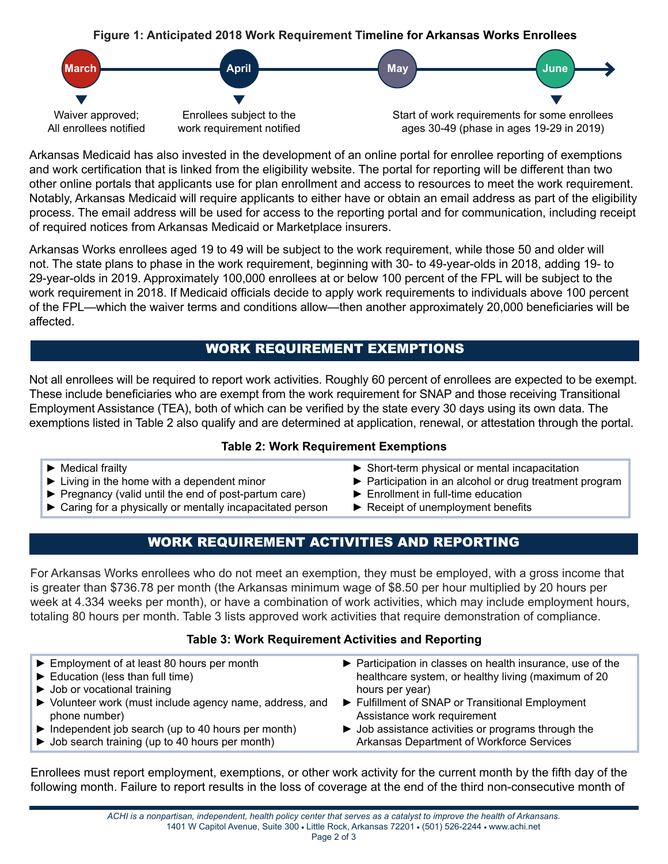

Arkansas Medicaid has also invested in the development of an online portal for enrollee reporting of exemptions and work certification that is linked from the eligibility website. The portal for reporting will be different than two other online portals that applicants use for plan enrollment and access to resources to meet the work requirement. Notably, Arkansas Medicaid will require applicants to either have or obtain an email address as part of the eligibility process. The email address will be used for access to the reporting portal and for communication, including receipt of required notices from Arkansas Medicaid or Marketplace insurers.

Arkansas Works enrollees aged 19 to 49 will be subject to the work requirement, while those 50 and older will not. The state plans to phase in the work requirement, beginning with 30- to 49-year-olds in 2018, adding 19- to 29-year-olds in 2019. Approximately 100,000 enrollees at or below 100 percent of the FPL will be subject to the work requirement in 2018. If Medicaid officials decide to apply work requirements to individuals above 100 percent of the FPL—which the waiver terms and conditions allow—then another approximately 20,000 beneficiaries will be affected.

## WORK REQUIREMENT EXEMPTIONS

Not all enrollees will be required to report work activities. Roughly 60 percent of enrollees are expected to be exempt. These include beneficiaries who are exempt from the work requirement for SNAP and those receiving Transitional Employment Assistance (TEA), both of which can be verified by the state every 30 days using its own data. The exemptions listed in Table 2 also qualify and are determined at application, renewal, or attestation through the portal.

#### **Table 2: Work Requirement Exemptions**

- ► Medical frailty
- ► Living in the home with a dependent minor
- ► Pregnancy (valid until the end of post-partum care)
- ► Caring for a physically or mentally incapacitated person
- ► Short-term physical or mental incapacitation
- ► Participation in an alcohol or drug treatment program
- ► Enrollment in full-time education
- ► Receipt of unemployment benefits

# WORK REQUIREMENT ACTIVITIES AND REPORTING

For Arkansas Works enrollees who do not meet an exemption, they must be employed, with a gross income that is greater than \$736.78 per month (the Arkansas minimum wage of \$8.50 per hour multiplied by 20 hours per week at 4.334 weeks per month), or have a combination of work activities, which may include employment hours, totaling 80 hours per month. Table 3 lists approved work activities that require demonstration of compliance.

#### **Table 3: Work Requirement Activities and Reporting**

| $\blacktriangleright$ Employment of at least 80 hours per month<br>$\blacktriangleright$ Education (less than full time)<br>$\triangleright$ Job or vocational training<br>▶ Volunteer work (must include agency name, address, and<br>phone number) | hours per year)<br>Assistance work requirement | ▶ Participation in classes on health insurance, use of the<br>healthcare system, or healthy living (maximum of 20<br>Fulfillment of SNAP or Transitional Employment |
|------------------------------------------------------------------------------------------------------------------------------------------------------------------------------------------------------------------------------------------------------|------------------------------------------------|---------------------------------------------------------------------------------------------------------------------------------------------------------------------|
| $\triangleright$ Independent job search (up to 40 hours per month)<br>$\triangleright$ Job search training (up to 40 hours per month)                                                                                                                |                                                | $\triangleright$ Job assistance activities or programs through the<br>Arkansas Department of Workforce Services                                                     |
|                                                                                                                                                                                                                                                      |                                                |                                                                                                                                                                     |

Enrollees must report employment, exemptions, or other work activity for the current month by the fifth day of the following month. Failure to report results in the loss of coverage at the end of the third non-consecutive month of